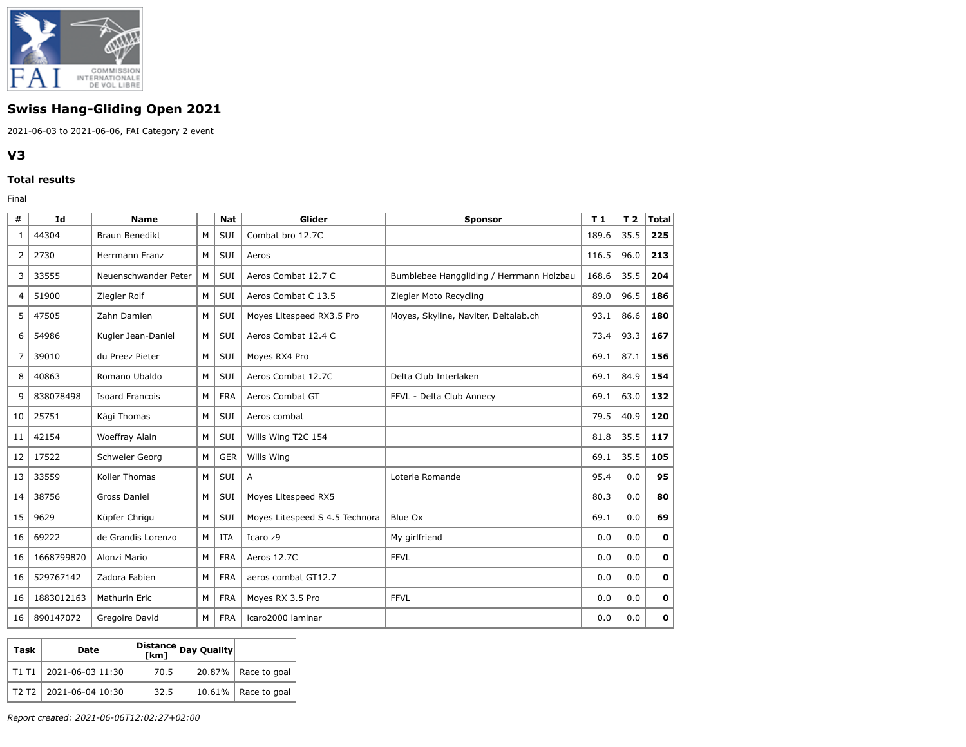

## **Swiss Hang-Gliding Open 2021**

2021-06-03 to 2021-06-06, FAI Category 2 event

## **V3**

## **Total results**

Final

| #  | <b>Id</b>  | <b>Name</b>            |   | <b>Nat</b> | Glider                         | <b>Sponsor</b>                           | T <sub>1</sub> | T <sub>2</sub> | <b>Total</b> |
|----|------------|------------------------|---|------------|--------------------------------|------------------------------------------|----------------|----------------|--------------|
| 1  | 44304      | <b>Braun Benedikt</b>  | M | SUI        | Combat bro 12.7C               |                                          | 189.6          | 35.5           | 225          |
| 2  | 2730       | Herrmann Franz         | М | SUI        | Aeros                          |                                          | 116.5          | 96.0           | 213          |
| 3  | 33555      | Neuenschwander Peter   | M | SUI        | Aeros Combat 12.7 C            | Bumblebee Hanggliding / Herrmann Holzbau | 168.6          | 35.5           | 204          |
| 4  | 51900      | Ziegler Rolf           | M | SUI        | Aeros Combat C 13.5            | Ziegler Moto Recycling                   | 89.0           | 96.5           | 186          |
| 5  | 47505      | Zahn Damien            | M | SUI        | Moyes Litespeed RX3.5 Pro      | Moyes, Skyline, Naviter, Deltalab.ch     | 93.1           | 86.6           | 180          |
| 6  | 54986      | Kugler Jean-Daniel     | M | SUI        | Aeros Combat 12.4 C            |                                          | 73.4           | 93.3           | 167          |
| 7  | 39010      | du Preez Pieter        | M | SUI        | Moyes RX4 Pro                  |                                          | 69.1           | 87.1           | 156          |
| 8  | 40863      | Romano Ubaldo          | М | SUI        | Aeros Combat 12.7C             | Delta Club Interlaken                    | 69.1           | 84.9           | 154          |
| 9  | 838078498  | <b>Isoard Francois</b> | M | <b>FRA</b> | Aeros Combat GT                | FFVL - Delta Club Annecy                 | 69.1           | 63.0           | 132          |
| 10 | 25751      | Kägi Thomas            | M | SUI        | Aeros combat                   |                                          | 79.5           | 40.9           | 120          |
| 11 | 42154      | Woeffray Alain         | M | SUI        | Wills Wing T2C 154             |                                          | 81.8           | 35.5           | 117          |
| 12 | 17522      | Schweier Georg         | M | <b>GER</b> | Wills Wing                     |                                          | 69.1           | 35.5           | 105          |
| 13 | 33559      | Koller Thomas          | M | SUI        | A                              | Loterie Romande                          | 95.4           | 0.0            | 95           |
| 14 | 38756      | <b>Gross Daniel</b>    | M | SUI        | Moyes Litespeed RX5            |                                          | 80.3           | 0.0            | 80           |
| 15 | 9629       | Küpfer Chrigu          | M | SUI        | Moyes Litespeed S 4.5 Technora | Blue Ox                                  | 69.1           | 0.0            | 69           |
| 16 | 69222      | de Grandis Lorenzo     | м | <b>ITA</b> | Icaro z9                       | My girlfriend                            | 0.0            | 0.0            | $\mathbf 0$  |
| 16 | 1668799870 | Alonzi Mario           | М | <b>FRA</b> | Aeros 12.7C                    | <b>FFVL</b>                              | 0.0            | 0.0            | $\mathbf 0$  |
| 16 | 529767142  | Zadora Fabien          | м | <b>FRA</b> | aeros combat GT12.7            |                                          | 0.0            | 0.0            | $\mathbf 0$  |
| 16 | 1883012163 | Mathurin Eric          | M | <b>FRA</b> | Moyes RX 3.5 Pro               | <b>FFVL</b>                              | 0.0            | 0.0            | 0            |
| 16 | 890147072  | Gregoire David         | М | <b>FRA</b> | icaro2000 laminar              |                                          | 0.0            | 0.0            | 0            |

| Task                          | Date             | [km] | Distance Day Quality |                        |
|-------------------------------|------------------|------|----------------------|------------------------|
| T1 T1                         | 2021-06-03 11:30 | 70.5 |                      | $20.87\%$ Race to goal |
| T <sub>2</sub> T <sub>2</sub> | 2021-06-04 10:30 | 32.5 | 10.61%               | Race to goal           |

*Report created: 2021-06-06T12:02:27+02:00*